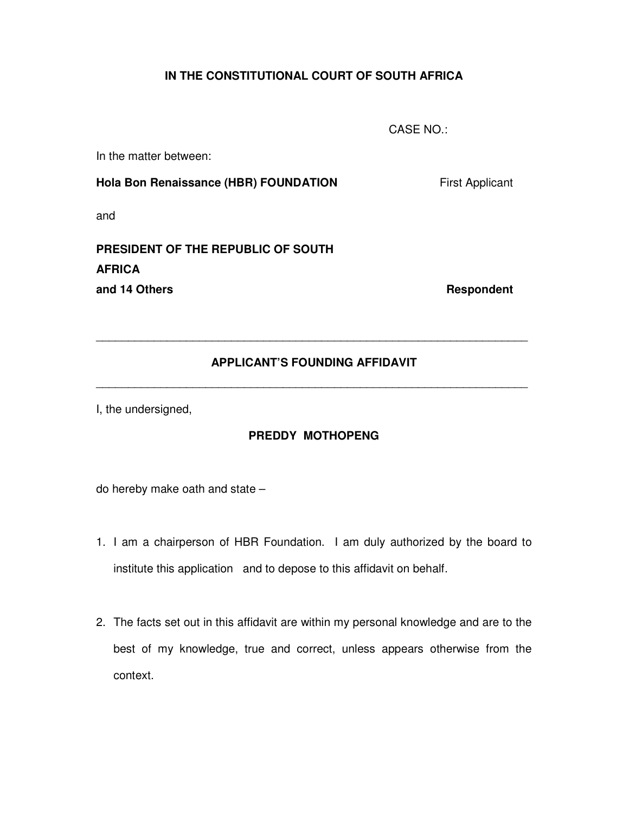## **IN THE CONSTITUTIONAL COURT OF SOUTH AFRICA**

CASE NO.:

In the matter between:

**Hola Bon Renaissance (HBR) FOUNDATION First Applicant** 

and

# **PRESIDENT OF THE REPUBLIC OF SOUTH AFRICA and 14 Others Respondent Respondent**

## **APPLICANT'S FOUNDING AFFIDAVIT**

\_\_\_\_\_\_\_\_\_\_\_\_\_\_\_\_\_\_\_\_\_\_\_\_\_\_\_\_\_\_\_\_\_\_\_\_\_\_\_\_\_\_\_\_\_\_\_\_\_\_\_\_\_\_\_\_\_\_\_\_\_\_\_\_\_\_\_

\_\_\_\_\_\_\_\_\_\_\_\_\_\_\_\_\_\_\_\_\_\_\_\_\_\_\_\_\_\_\_\_\_\_\_\_\_\_\_\_\_\_\_\_\_\_\_\_\_\_\_\_\_\_\_\_\_\_\_\_\_\_\_\_\_\_\_

I, the undersigned,

### **PREDDY MOTHOPENG**

do hereby make oath and state –

- 1. I am a chairperson of HBR Foundation. I am duly authorized by the board to institute this application and to depose to this affidavit on behalf.
- 2. The facts set out in this affidavit are within my personal knowledge and are to the best of my knowledge, true and correct, unless appears otherwise from the context.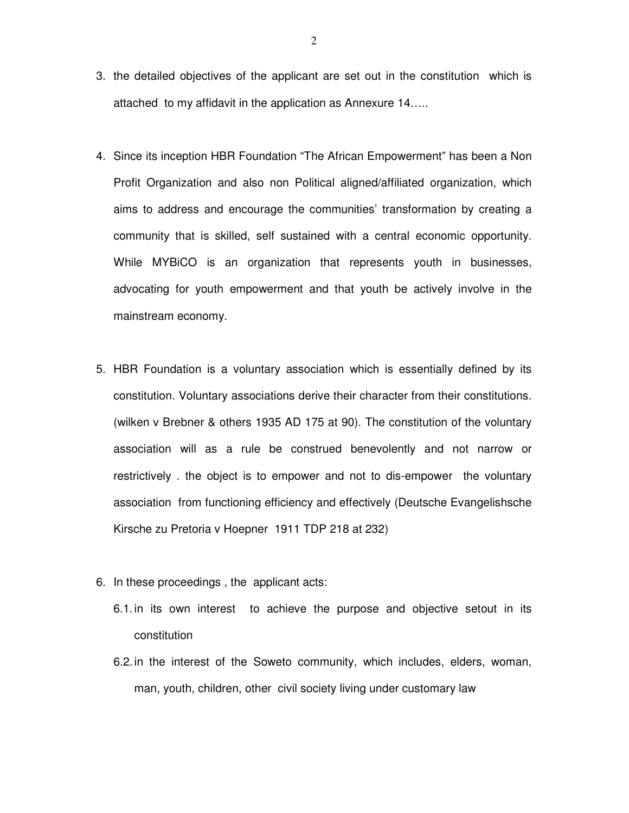- 3. the detailed objectives of the applicant are set out in the constitution which is attached to my affidavit in the application as Annexure 14…..
- 4. Since its inception HBR Foundation "The African Empowerment" has been a Non Profit Organization and also non Political aligned/affiliated organization, which aims to address and encourage the communities' transformation by creating a community that is skilled, self sustained with a central economic opportunity. While MYBiCO is an organization that represents youth in businesses, advocating for youth empowerment and that youth be actively involve in the mainstream economy.
- 5. HBR Foundation is a voluntary association which is essentially defined by its constitution. Voluntary associations derive their character from their constitutions. (wilken v Brebner & others 1935 AD 175 at 90). The constitution of the voluntary association will as a rule be construed benevolently and not narrow or restrictively . the object is to empower and not to dis-empower the voluntary association from functioning efficiency and effectively (Deutsche Evangelishsche Kirsche zu Pretoria v Hoepner 1911 TDP 218 at 232)
- 6. In these proceedings , the applicant acts:
	- 6.1. in its own interest to achieve the purpose and objective setout in its constitution
	- 6.2. in the interest of the Soweto community, which includes, elders, woman, man, youth, children, other civil society living under customary law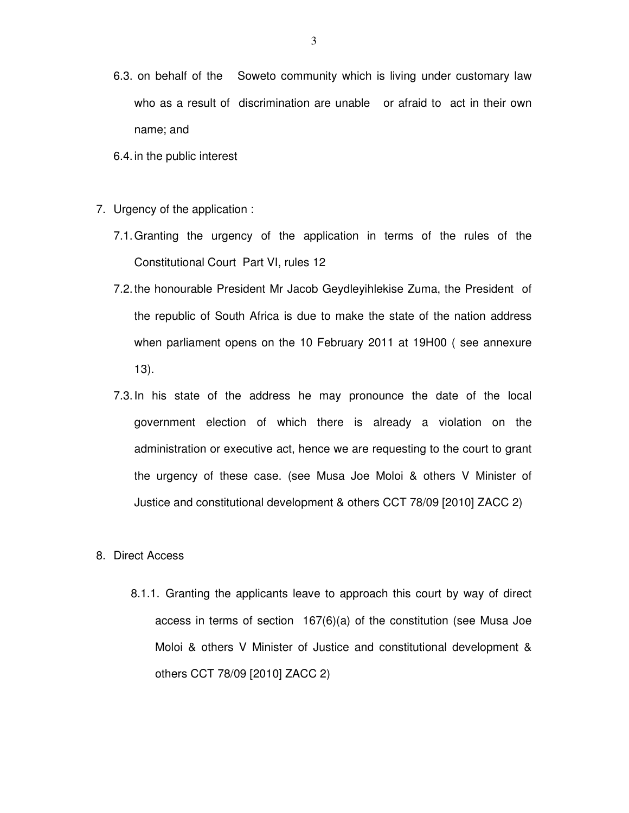- 6.3. on behalf of the Soweto community which is living under customary law who as a result of discrimination are unable or afraid to act in their own name; and
- 6.4. in the public interest
- 7. Urgency of the application :
	- 7.1. Granting the urgency of the application in terms of the rules of the Constitutional Court Part VI, rules 12
	- 7.2. the honourable President Mr Jacob Geydleyihlekise Zuma, the President of the republic of South Africa is due to make the state of the nation address when parliament opens on the 10 February 2011 at 19H00 ( see annexure 13).
	- 7.3. In his state of the address he may pronounce the date of the local government election of which there is already a violation on the administration or executive act, hence we are requesting to the court to grant the urgency of these case. (see Musa Joe Moloi & others V Minister of Justice and constitutional development & others CCT 78/09 [2010] ZACC 2)

#### 8. Direct Access

8.1.1. Granting the applicants leave to approach this court by way of direct access in terms of section 167(6)(a) of the constitution (see Musa Joe Moloi & others V Minister of Justice and constitutional development & others CCT 78/09 [2010] ZACC 2)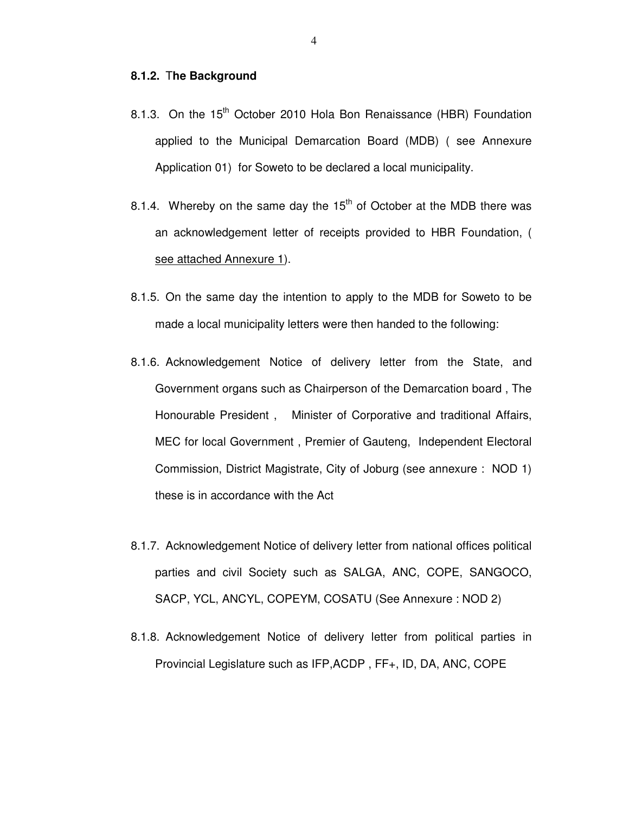#### **8.1.2.** T**he Background**

- 8.1.3. On the 15<sup>th</sup> October 2010 Hola Bon Renaissance (HBR) Foundation applied to the Municipal Demarcation Board (MDB) ( see Annexure Application 01) for Soweto to be declared a local municipality.
- 8.1.4. Whereby on the same day the  $15<sup>th</sup>$  of October at the MDB there was an acknowledgement letter of receipts provided to HBR Foundation, ( see attached Annexure 1).
- 8.1.5. On the same day the intention to apply to the MDB for Soweto to be made a local municipality letters were then handed to the following:
- 8.1.6. Acknowledgement Notice of delivery letter from the State, and Government organs such as Chairperson of the Demarcation board , The Honourable President , Minister of Corporative and traditional Affairs, MEC for local Government , Premier of Gauteng, Independent Electoral Commission, District Magistrate, City of Joburg (see annexure : NOD 1) these is in accordance with the Act
- 8.1.7. Acknowledgement Notice of delivery letter from national offices political parties and civil Society such as SALGA, ANC, COPE, SANGOCO, SACP, YCL, ANCYL, COPEYM, COSATU (See Annexure : NOD 2)
- 8.1.8. Acknowledgement Notice of delivery letter from political parties in Provincial Legislature such as IFP,ACDP , FF+, ID, DA, ANC, COPE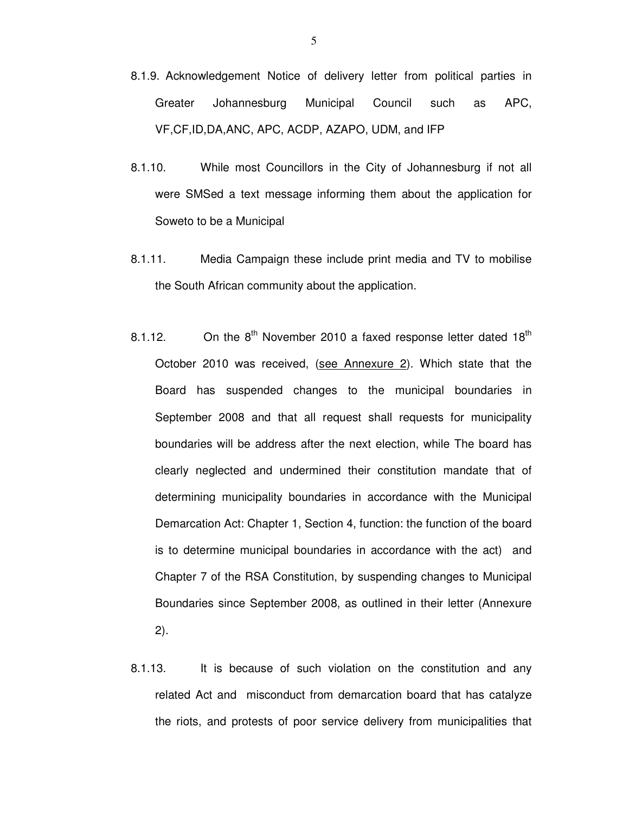- 8.1.9. Acknowledgement Notice of delivery letter from political parties in Greater Johannesburg Municipal Council such as APC, VF,CF,ID,DA,ANC, APC, ACDP, AZAPO, UDM, and IFP
- 8.1.10. While most Councillors in the City of Johannesburg if not all were SMSed a text message informing them about the application for Soweto to be a Municipal
- 8.1.11. Media Campaign these include print media and TV to mobilise the South African community about the application.
- 8.1.12. On the  $8<sup>th</sup>$  November 2010 a faxed response letter dated 18<sup>th</sup> October 2010 was received, (see Annexure 2). Which state that the Board has suspended changes to the municipal boundaries in September 2008 and that all request shall requests for municipality boundaries will be address after the next election, while The board has clearly neglected and undermined their constitution mandate that of determining municipality boundaries in accordance with the Municipal Demarcation Act: Chapter 1, Section 4, function: the function of the board is to determine municipal boundaries in accordance with the act) and Chapter 7 of the RSA Constitution, by suspending changes to Municipal Boundaries since September 2008, as outlined in their letter (Annexure 2).
- 8.1.13. It is because of such violation on the constitution and any related Act and misconduct from demarcation board that has catalyze the riots, and protests of poor service delivery from municipalities that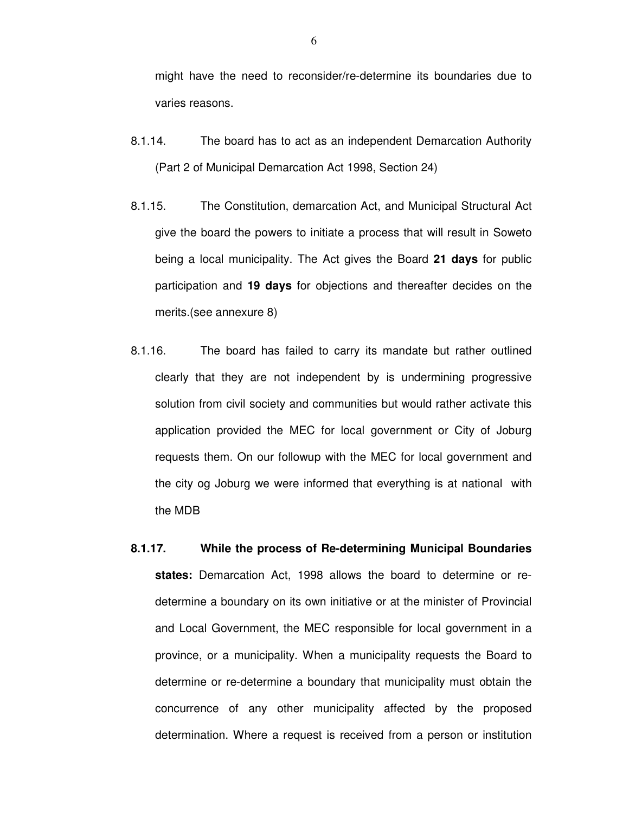might have the need to reconsider/re-determine its boundaries due to varies reasons.

- 8.1.14. The board has to act as an independent Demarcation Authority (Part 2 of Municipal Demarcation Act 1998, Section 24)
- 8.1.15. The Constitution, demarcation Act, and Municipal Structural Act give the board the powers to initiate a process that will result in Soweto being a local municipality. The Act gives the Board **21 days** for public participation and **19 days** for objections and thereafter decides on the merits.(see annexure 8)
- 8.1.16. The board has failed to carry its mandate but rather outlined clearly that they are not independent by is undermining progressive solution from civil society and communities but would rather activate this application provided the MEC for local government or City of Joburg requests them. On our followup with the MEC for local government and the city og Joburg we were informed that everything is at national with the MDB
- **8.1.17. While the process of Re-determining Municipal Boundaries states:** Demarcation Act, 1998 allows the board to determine or redetermine a boundary on its own initiative or at the minister of Provincial and Local Government, the MEC responsible for local government in a province, or a municipality. When a municipality requests the Board to determine or re-determine a boundary that municipality must obtain the concurrence of any other municipality affected by the proposed determination. Where a request is received from a person or institution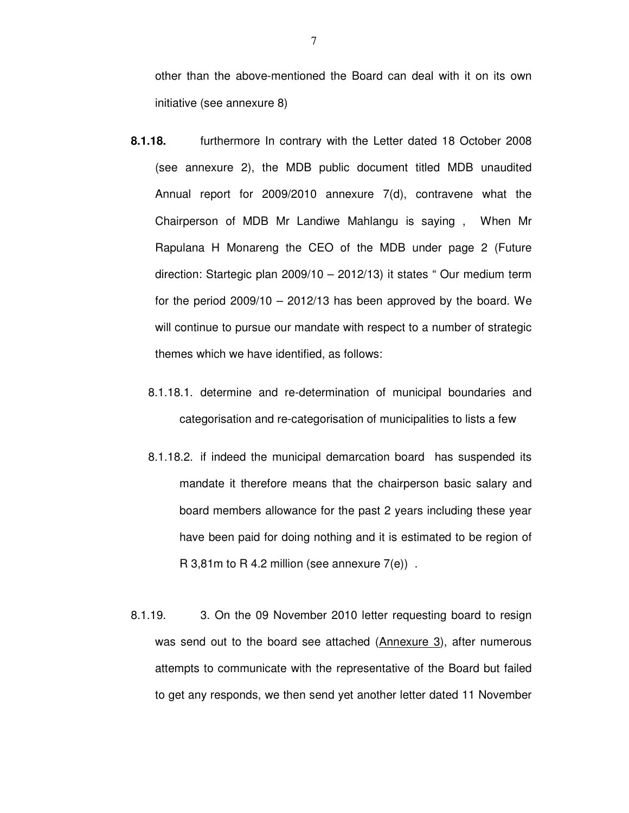other than the above-mentioned the Board can deal with it on its own initiative (see annexure 8)

- **8.1.18.** furthermore In contrary with the Letter dated 18 October 2008 (see annexure 2), the MDB public document titled MDB unaudited Annual report for 2009/2010 annexure 7(d), contravene what the Chairperson of MDB Mr Landiwe Mahlangu is saying , When Mr Rapulana H Monareng the CEO of the MDB under page 2 (Future direction: Startegic plan 2009/10 – 2012/13) it states " Our medium term for the period  $2009/10 - 2012/13$  has been approved by the board. We will continue to pursue our mandate with respect to a number of strategic themes which we have identified, as follows:
	- 8.1.18.1. determine and re-determination of municipal boundaries and categorisation and re-categorisation of municipalities to lists a few
	- 8.1.18.2. if indeed the municipal demarcation board has suspended its mandate it therefore means that the chairperson basic salary and board members allowance for the past 2 years including these year have been paid for doing nothing and it is estimated to be region of R 3,81m to R 4.2 million (see annexure  $7(e)$ ).
- 8.1.19. 3. On the 09 November 2010 letter requesting board to resign was send out to the board see attached (Annexure 3), after numerous attempts to communicate with the representative of the Board but failed to get any responds, we then send yet another letter dated 11 November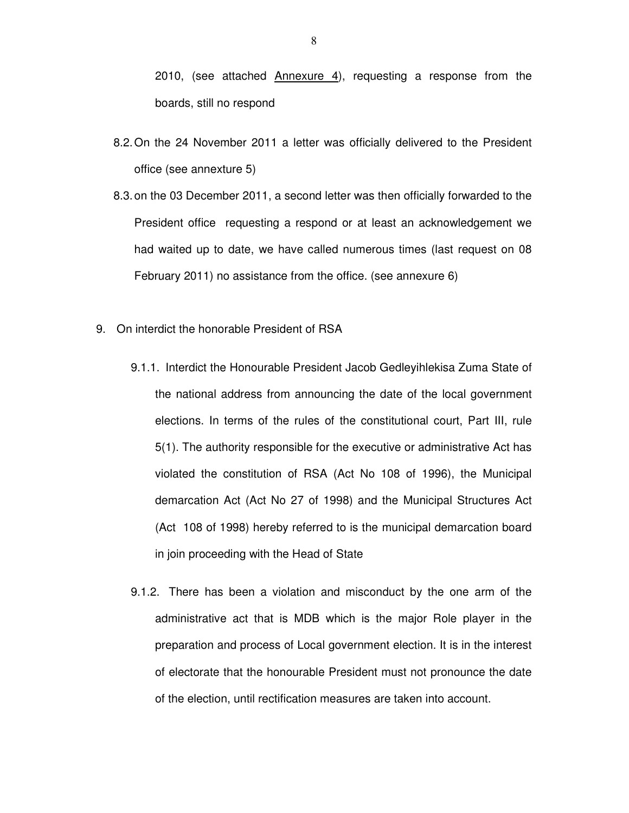2010, (see attached  $\Delta n$ nexure 4), requesting a response from the boards, still no respond

- 8.2. On the 24 November 2011 a letter was officially delivered to the President office (see annexture 5)
- 8.3. on the 03 December 2011, a second letter was then officially forwarded to the President office requesting a respond or at least an acknowledgement we had waited up to date, we have called numerous times (last request on 08 February 2011) no assistance from the office. (see annexure 6)
- 9. On interdict the honorable President of RSA
	- 9.1.1. Interdict the Honourable President Jacob Gedleyihlekisa Zuma State of the national address from announcing the date of the local government elections. In terms of the rules of the constitutional court, Part III, rule 5(1). The authority responsible for the executive or administrative Act has violated the constitution of RSA (Act No 108 of 1996), the Municipal demarcation Act (Act No 27 of 1998) and the Municipal Structures Act (Act 108 of 1998) hereby referred to is the municipal demarcation board in join proceeding with the Head of State
	- 9.1.2. There has been a violation and misconduct by the one arm of the administrative act that is MDB which is the major Role player in the preparation and process of Local government election. It is in the interest of electorate that the honourable President must not pronounce the date of the election, until rectification measures are taken into account.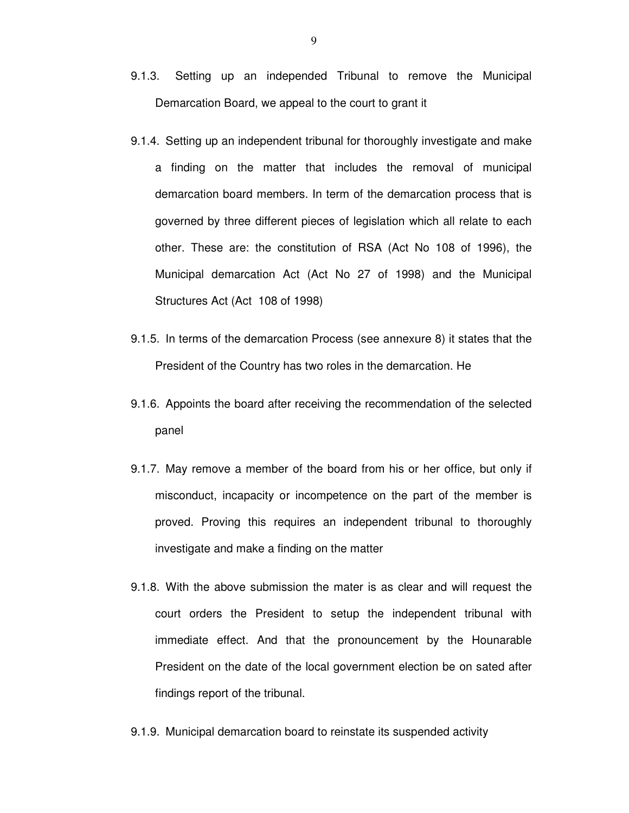- 9.1.3. Setting up an independed Tribunal to remove the Municipal Demarcation Board, we appeal to the court to grant it
- 9.1.4. Setting up an independent tribunal for thoroughly investigate and make a finding on the matter that includes the removal of municipal demarcation board members. In term of the demarcation process that is governed by three different pieces of legislation which all relate to each other. These are: the constitution of RSA (Act No 108 of 1996), the Municipal demarcation Act (Act No 27 of 1998) and the Municipal Structures Act (Act 108 of 1998)
- 9.1.5. In terms of the demarcation Process (see annexure 8) it states that the President of the Country has two roles in the demarcation. He
- 9.1.6. Appoints the board after receiving the recommendation of the selected panel
- 9.1.7. May remove a member of the board from his or her office, but only if misconduct, incapacity or incompetence on the part of the member is proved. Proving this requires an independent tribunal to thoroughly investigate and make a finding on the matter
- 9.1.8. With the above submission the mater is as clear and will request the court orders the President to setup the independent tribunal with immediate effect. And that the pronouncement by the Hounarable President on the date of the local government election be on sated after findings report of the tribunal.
- 9.1.9. Municipal demarcation board to reinstate its suspended activity